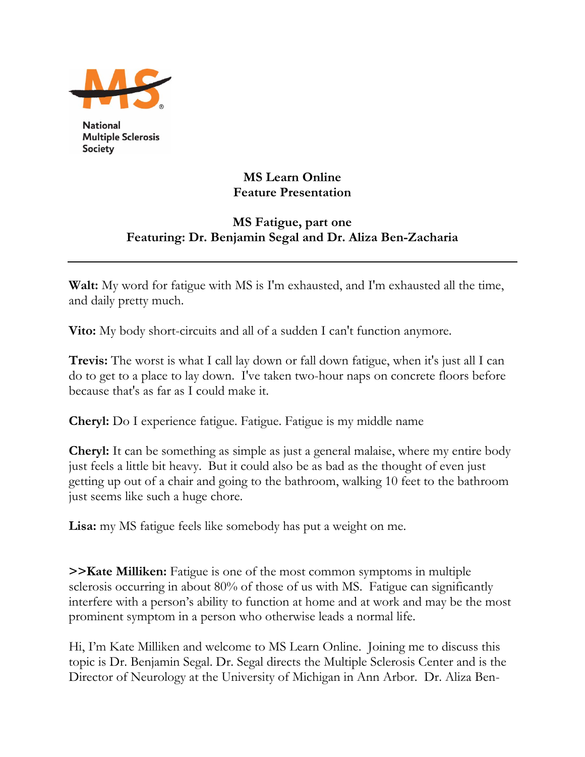

**National Multiple Sclerosis** Society

## **MS Learn Online Feature Presentation**

## **MS Fatigue, part one Featuring: Dr. Benjamin Segal and Dr. Aliza Ben-Zacharia**

**Walt:** My word for fatigue with MS is I'm exhausted, and I'm exhausted all the time, and daily pretty much.

**Vito:** My body short-circuits and all of a sudden I can't function anymore.

**Trevis:** The worst is what I call lay down or fall down fatigue, when it's just all I can do to get to a place to lay down. I've taken two-hour naps on concrete floors before because that's as far as I could make it.

**Cheryl:** Do I experience fatigue. Fatigue. Fatigue is my middle name

**Cheryl:** It can be something as simple as just a general malaise, where my entire body just feels a little bit heavy. But it could also be as bad as the thought of even just getting up out of a chair and going to the bathroom, walking 10 feet to the bathroom just seems like such a huge chore.

**Lisa:** my MS fatigue feels like somebody has put a weight on me.

**>>Kate Milliken:** Fatigue is one of the most common symptoms in multiple sclerosis occurring in about 80% of those of us with MS. Fatigue can significantly interfere with a person's ability to function at home and at work and may be the most prominent symptom in a person who otherwise leads a normal life.

Hi, I'm Kate Milliken and welcome to MS Learn Online. Joining me to discuss this topic is Dr. Benjamin Segal. Dr. Segal directs the Multiple Sclerosis Center and is the Director of Neurology at the University of Michigan in Ann Arbor. Dr. Aliza Ben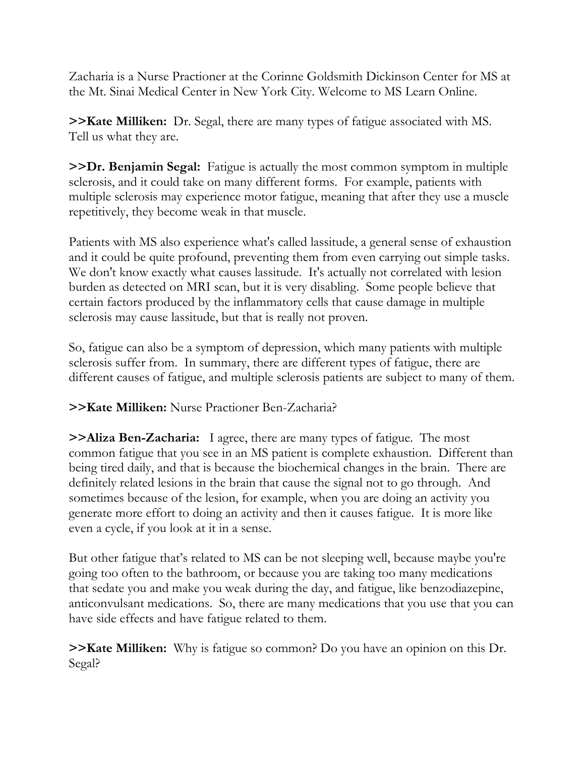Zacharia is a Nurse Practioner at the Corinne Goldsmith Dickinson Center for MS at the Mt. Sinai Medical Center in New York City. Welcome to MS Learn Online.

**>>Kate Milliken:** Dr. Segal, there are many types of fatigue associated with MS. Tell us what they are.

**>>Dr. Benjamin Segal:** Fatigue is actually the most common symptom in multiple sclerosis, and it could take on many different forms. For example, patients with multiple sclerosis may experience motor fatigue, meaning that after they use a muscle repetitively, they become weak in that muscle.

Patients with MS also experience what's called lassitude, a general sense of exhaustion and it could be quite profound, preventing them from even carrying out simple tasks. We don't know exactly what causes lassitude. It's actually not correlated with lesion burden as detected on MRI scan, but it is very disabling. Some people believe that certain factors produced by the inflammatory cells that cause damage in multiple sclerosis may cause lassitude, but that is really not proven.

So, fatigue can also be a symptom of depression, which many patients with multiple sclerosis suffer from. In summary, there are different types of fatigue, there are different causes of fatigue, and multiple sclerosis patients are subject to many of them.

## **>>Kate Milliken:** Nurse Practioner Ben-Zacharia?

**>>Aliza Ben-Zacharia:** I agree, there are many types of fatigue. The most common fatigue that you see in an MS patient is complete exhaustion. Different than being tired daily, and that is because the biochemical changes in the brain. There are definitely related lesions in the brain that cause the signal not to go through. And sometimes because of the lesion, for example, when you are doing an activity you generate more effort to doing an activity and then it causes fatigue. It is more like even a cycle, if you look at it in a sense.

But other fatigue that's related to MS can be not sleeping well, because maybe you're going too often to the bathroom, or because you are taking too many medications that sedate you and make you weak during the day, and fatigue, like benzodiazepine, anticonvulsant medications. So, there are many medications that you use that you can have side effects and have fatigue related to them.

**>>Kate Milliken:** Why is fatigue so common? Do you have an opinion on this Dr. Segal?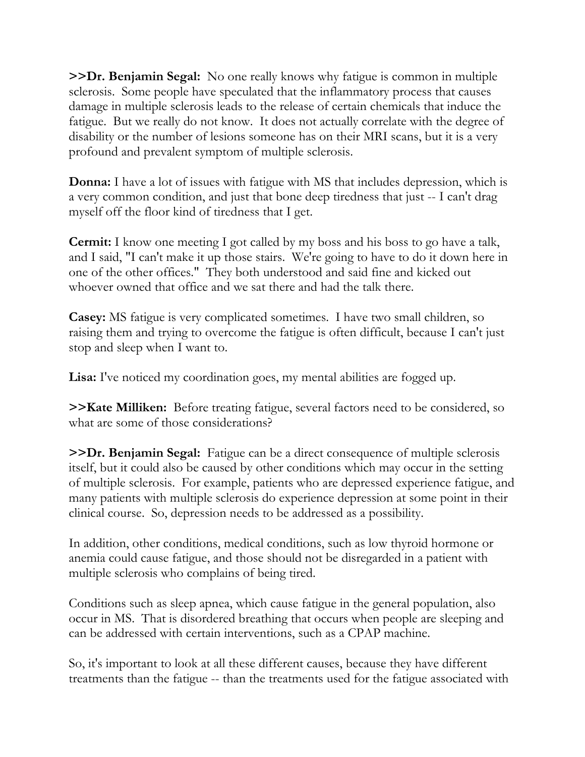**>>Dr. Benjamin Segal:** No one really knows why fatigue is common in multiple sclerosis. Some people have speculated that the inflammatory process that causes damage in multiple sclerosis leads to the release of certain chemicals that induce the fatigue. But we really do not know. It does not actually correlate with the degree of disability or the number of lesions someone has on their MRI scans, but it is a very profound and prevalent symptom of multiple sclerosis.

**Donna:** I have a lot of issues with fatigue with MS that includes depression, which is a very common condition, and just that bone deep tiredness that just -- I can't drag myself off the floor kind of tiredness that I get.

**Cermit:** I know one meeting I got called by my boss and his boss to go have a talk, and I said, "I can't make it up those stairs. We're going to have to do it down here in one of the other offices." They both understood and said fine and kicked out whoever owned that office and we sat there and had the talk there.

**Casey:** MS fatigue is very complicated sometimes. I have two small children, so raising them and trying to overcome the fatigue is often difficult, because I can't just stop and sleep when I want to.

Lisa: I've noticed my coordination goes, my mental abilities are fogged up.

**>>Kate Milliken:** Before treating fatigue, several factors need to be considered, so what are some of those considerations?

**>>Dr. Benjamin Segal:** Fatigue can be a direct consequence of multiple sclerosis itself, but it could also be caused by other conditions which may occur in the setting of multiple sclerosis. For example, patients who are depressed experience fatigue, and many patients with multiple sclerosis do experience depression at some point in their clinical course. So, depression needs to be addressed as a possibility.

In addition, other conditions, medical conditions, such as low thyroid hormone or anemia could cause fatigue, and those should not be disregarded in a patient with multiple sclerosis who complains of being tired.

Conditions such as sleep apnea, which cause fatigue in the general population, also occur in MS. That is disordered breathing that occurs when people are sleeping and can be addressed with certain interventions, such as a CPAP machine.

So, it's important to look at all these different causes, because they have different treatments than the fatigue -- than the treatments used for the fatigue associated with